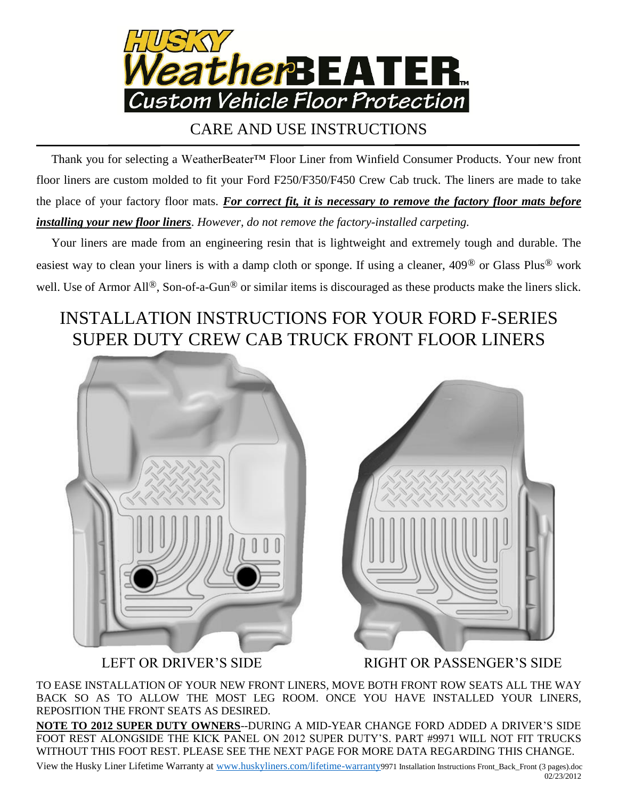

## CARE AND USE INSTRUCTIONS

 Thank you for selecting a WeatherBeater™ Floor Liner from Winfield Consumer Products. Your new front floor liners are custom molded to fit your Ford F250/F350/F450 Crew Cab truck. The liners are made to take the place of your factory floor mats. *For correct fit, it is necessary to remove the factory floor mats before installing your new floor liners*. *However, do not remove the factory-installed carpeting.*

 Your liners are made from an engineering resin that is lightweight and extremely tough and durable. The easiest way to clean your liners is with a damp cloth or sponge. If using a cleaner, 409® or Glass Plus® work well. Use of Armor All®, Son-of-a-Gun® or similar items is discouraged as these products make the liners slick.

## INSTALLATION INSTRUCTIONS FOR YOUR FORD F-SERIES SUPER DUTY CREW CAB TRUCK FRONT FLOOR LINERS



LEFT OR DRIVER'S SIDE RIGHT OR PASSENGER'S SIDE

TO EASE INSTALLATION OF YOUR NEW FRONT LINERS, MOVE BOTH FRONT ROW SEATS ALL THE WAY BACK SO AS TO ALLOW THE MOST LEG ROOM. ONCE YOU HAVE INSTALLED YOUR LINERS, REPOSITION THE FRONT SEATS AS DESIRED.

**NOTE TO 2012 SUPER DUTY OWNERS**--DURING A MID-YEAR CHANGE FORD ADDED A DRIVER'S SIDE FOOT REST ALONGSIDE THE KICK PANEL ON 2012 SUPER DUTY'S. PART #9971 WILL NOT FIT TRUCKS WITHOUT THIS FOOT REST. PLEASE SEE THE NEXT PAGE FOR MORE DATA REGARDING THIS CHANGE.

View the Husky Liner Lifetime Warranty at [www.huskyliners.com/lifetime-warranty](http://www.huskyliners.com/lifetime-warranty)9971 Installation Instructions Front\_Back\_Front (3 pages).doc 02/23/2012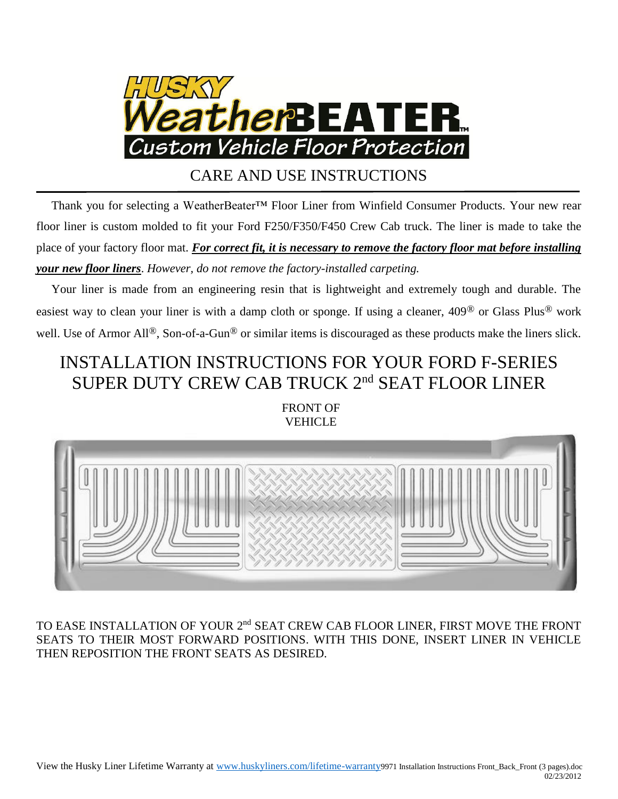

CARE AND USE INSTRUCTIONS

 Thank you for selecting a WeatherBeater™ Floor Liner from Winfield Consumer Products. Your new rear floor liner is custom molded to fit your Ford F250/F350/F450 Crew Cab truck. The liner is made to take the place of your factory floor mat. *For correct fit, it is necessary to remove the factory floor mat before installing your new floor liners*. *However, do not remove the factory-installed carpeting.*

 Your liner is made from an engineering resin that is lightweight and extremely tough and durable. The easiest way to clean your liner is with a damp cloth or sponge. If using a cleaner, 409® or Glass Plus® work well. Use of Armor All<sup>®</sup>, Son-of-a-Gun<sup>®</sup> or similar items is discouraged as these products make the liners slick.

## INSTALLATION INSTRUCTIONS FOR YOUR FORD F-SERIES SUPER DUTY CREW CAB TRUCK 2<sup>nd</sup> SEAT FLOOR LINER

FRONT OF VEHICLE



TO EASE INSTALLATION OF YOUR 2<sup>nd</sup> SEAT CREW CAB FLOOR LINER, FIRST MOVE THE FRONT SEATS TO THEIR MOST FORWARD POSITIONS. WITH THIS DONE, INSERT LINER IN VEHICLE THEN REPOSITION THE FRONT SEATS AS DESIRED.